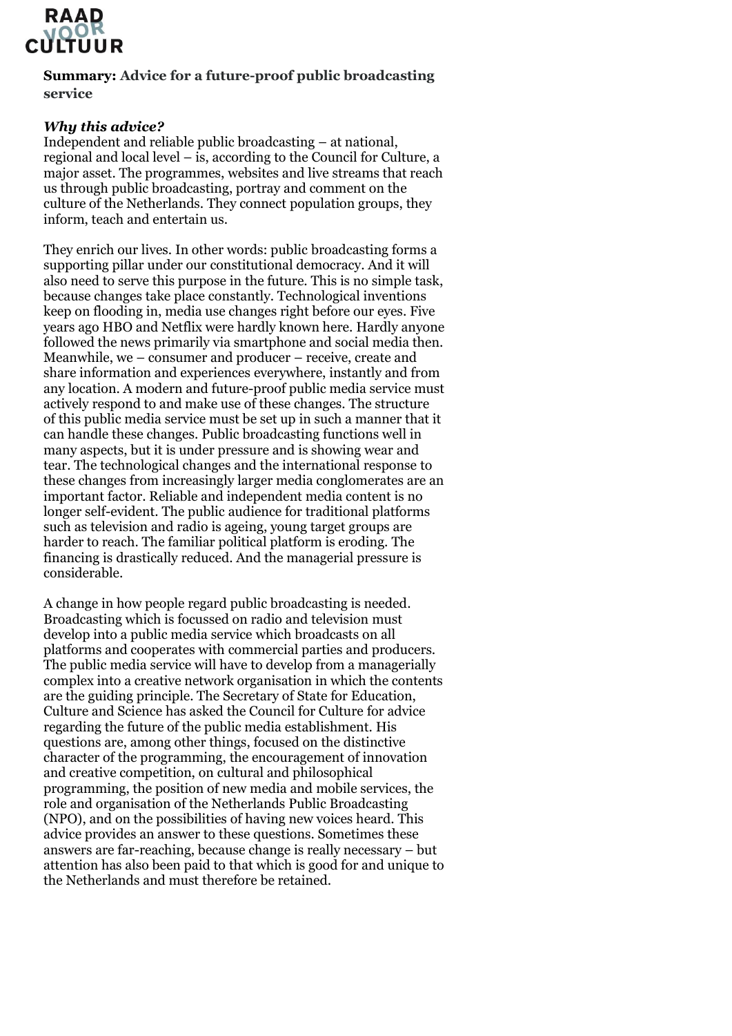

**Summary: Advice for a future-proof public broadcasting service** 

### *Why this advice?*

Independent and reliable public broadcasting – at national, regional and local level  $-\hat{i}$ s, according to the Council for Culture, a major asset. The programmes, websites and live streams that reach us through public broadcasting, portray and comment on the culture of the Netherlands. They connect population groups, they inform, teach and entertain us.

They enrich our lives. In other words: public broadcasting forms a supporting pillar under our constitutional democracy. And it will also need to serve this purpose in the future. This is no simple task, because changes take place constantly. Technological inventions keep on flooding in, media use changes right before our eyes. Five years ago HBO and Netflix were hardly known here. Hardly anyone followed the news primarily via smartphone and social media then. Meanwhile, we – consumer and producer – receive, create and share information and experiences everywhere, instantly and from any location. A modern and future-proof public media service must actively respond to and make use of these changes. The structure of this public media service must be set up in such a manner that it can handle these changes. Public broadcasting functions well in many aspects, but it is under pressure and is showing wear and tear. The technological changes and the international response to these changes from increasingly larger media conglomerates are an important factor. Reliable and independent media content is no longer self-evident. The public audience for traditional platforms such as television and radio is ageing, young target groups are harder to reach. The familiar political platform is eroding. The financing is drastically reduced. And the managerial pressure is considerable.

A change in how people regard public broadcasting is needed. Broadcasting which is focussed on radio and television must develop into a public media service which broadcasts on all platforms and cooperates with commercial parties and producers. The public media service will have to develop from a managerially complex into a creative network organisation in which the contents are the guiding principle. The Secretary of State for Education, Culture and Science has asked the Council for Culture for advice regarding the future of the public media establishment. His questions are, among other things, focused on the distinctive character of the programming, the encouragement of innovation and creative competition, on cultural and philosophical programming, the position of new media and mobile services, the role and organisation of the Netherlands Public Broadcasting (NPO), and on the possibilities of having new voices heard. This advice provides an answer to these questions. Sometimes these answers are far-reaching, because change is really necessary – but attention has also been paid to that which is good for and unique to the Netherlands and must therefore be retained.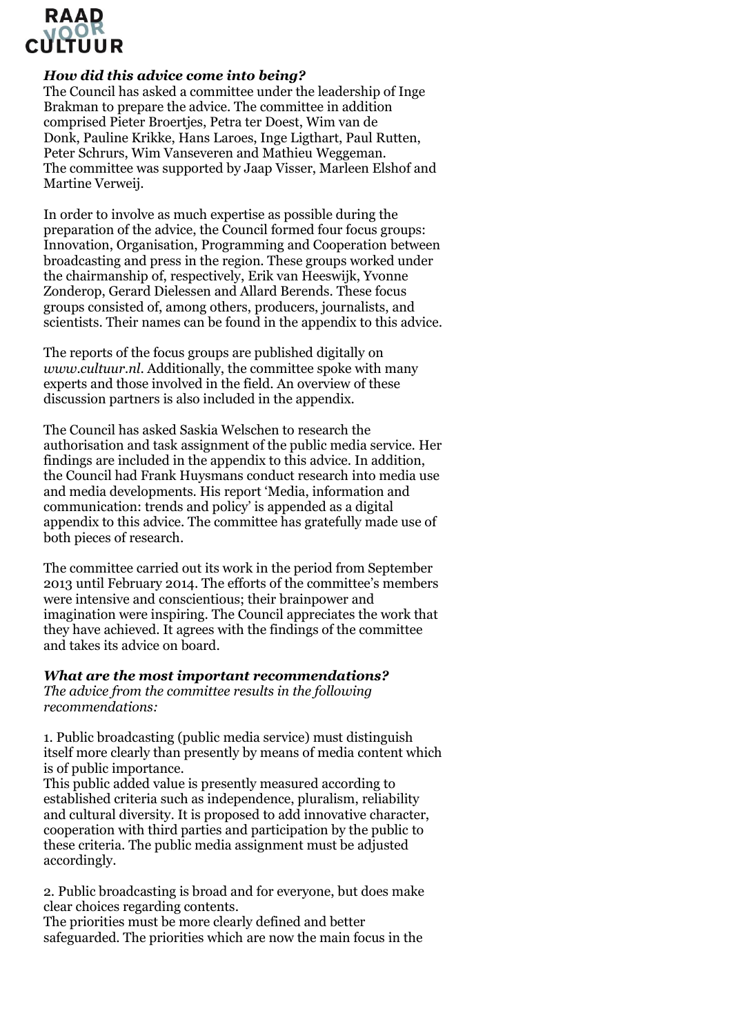## *How did this advice come into being?*

The Council has asked a committee under the leadership of Inge Brakman to prepare the advice. The committee in addition comprised Pieter Broertjes, Petra ter Doest, Wim van de Donk, Pauline Krikke, Hans Laroes, Inge Ligthart, Paul Rutten, Peter Schrurs, Wim Vanseveren and Mathieu Weggeman. The committee was supported by Jaap Visser, Marleen Elshof and Martine Verweij.

In order to involve as much expertise as possible during the preparation of the advice, the Council formed four focus groups: Innovation, Organisation, Programming and Cooperation between broadcasting and press in the region. These groups worked under the chairmanship of, respectively, Erik van Heeswijk, Yvonne Zonderop, Gerard Dielessen and Allard Berends. These focus groups consisted of, among others, producers, journalists, and scientists. Their names can be found in the appendix to this advice.

The reports of the focus groups are published digitally on *www.cultuur.nl*. Additionally, the committee spoke with many experts and those involved in the field. An overview of these discussion partners is also included in the appendix.

The Council has asked Saskia Welschen to research the authorisation and task assignment of the public media service. Her findings are included in the appendix to this advice. In addition, the Council had Frank Huysmans conduct research into media use and media developments. His report 'Media, information and communication: trends and policy' is appended as a digital appendix to this advice. The committee has gratefully made use of both pieces of research.

The committee carried out its work in the period from September 2013 until February 2014. The efforts of the committee's members were intensive and conscientious; their brainpower and imagination were inspiring. The Council appreciates the work that they have achieved. It agrees with the findings of the committee and takes its advice on board.

### *What are the most important recommendations?*

*The advice from the committee results in the following recommendations:*

1. Public broadcasting (public media service) must distinguish itself more clearly than presently by means of media content which is of public importance.

This public added value is presently measured according to established criteria such as independence, pluralism, reliability and cultural diversity. It is proposed to add innovative character, cooperation with third parties and participation by the public to these criteria. The public media assignment must be adjusted accordingly.

2. Public broadcasting is broad and for everyone, but does make clear choices regarding contents.

The priorities must be more clearly defined and better safeguarded. The priorities which are now the main focus in the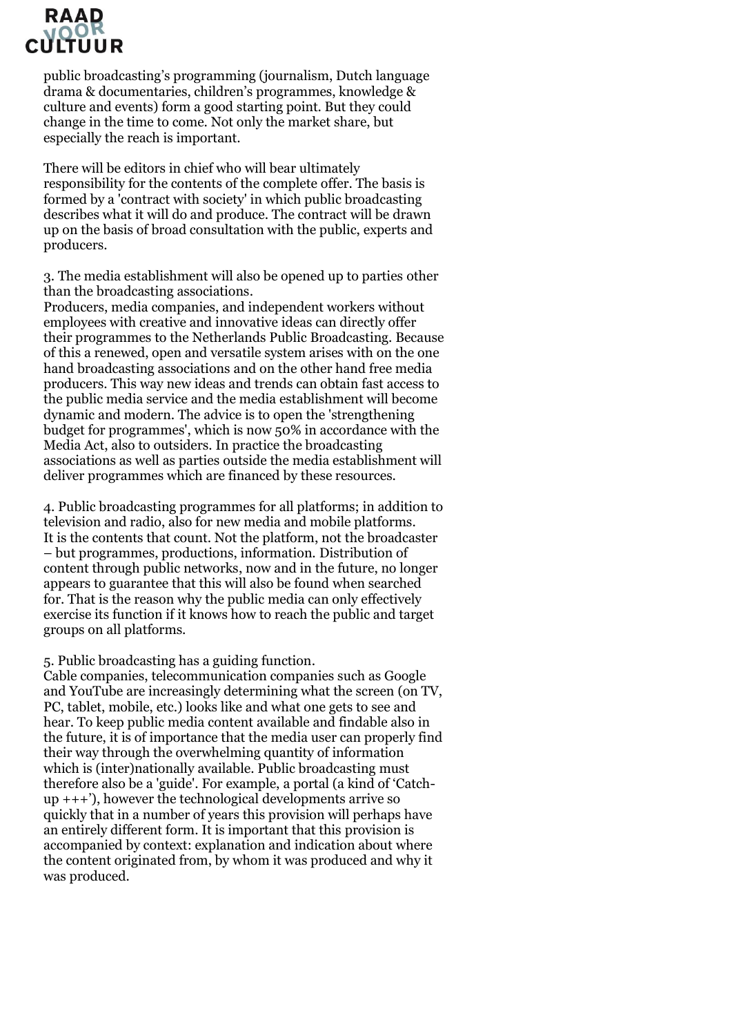# RAAD

public broadcasting's programming (journalism, Dutch language drama & documentaries, children's programmes, knowledge & culture and events) form a good starting point. But they could change in the time to come. Not only the market share, but especially the reach is important.

There will be editors in chief who will bear ultimately responsibility for the contents of the complete offer. The basis is formed by a 'contract with society' in which public broadcasting describes what it will do and produce. The contract will be drawn up on the basis of broad consultation with the public, experts and producers.

3. The media establishment will also be opened up to parties other than the broadcasting associations.

Producers, media companies, and independent workers without employees with creative and innovative ideas can directly offer their programmes to the Netherlands Public Broadcasting. Because of this a renewed, open and versatile system arises with on the one hand broadcasting associations and on the other hand free media producers. This way new ideas and trends can obtain fast access to the public media service and the media establishment will become dynamic and modern. The advice is to open the 'strengthening budget for programmes', which is now 50% in accordance with the Media Act, also to outsiders. In practice the broadcasting associations as well as parties outside the media establishment will deliver programmes which are financed by these resources.

4. Public broadcasting programmes for all platforms; in addition to television and radio, also for new media and mobile platforms. It is the contents that count. Not the platform, not the broadcaster – but programmes, productions, information. Distribution of content through public networks, now and in the future, no longer appears to guarantee that this will also be found when searched for. That is the reason why the public media can only effectively exercise its function if it knows how to reach the public and target groups on all platforms.

### 5. Public broadcasting has a guiding function.

Cable companies, telecommunication companies such as Google and YouTube are increasingly determining what the screen (on TV, PC, tablet, mobile, etc.) looks like and what one gets to see and hear. To keep public media content available and findable also in the future, it is of importance that the media user can properly find their way through the overwhelming quantity of information which is (inter)nationally available. Public broadcasting must therefore also be a 'guide'. For example, a portal (a kind of 'Catchup +++'), however the technological developments arrive so quickly that in a number of years this provision will perhaps have an entirely different form. It is important that this provision is accompanied by context: explanation and indication about where the content originated from, by whom it was produced and why it was produced.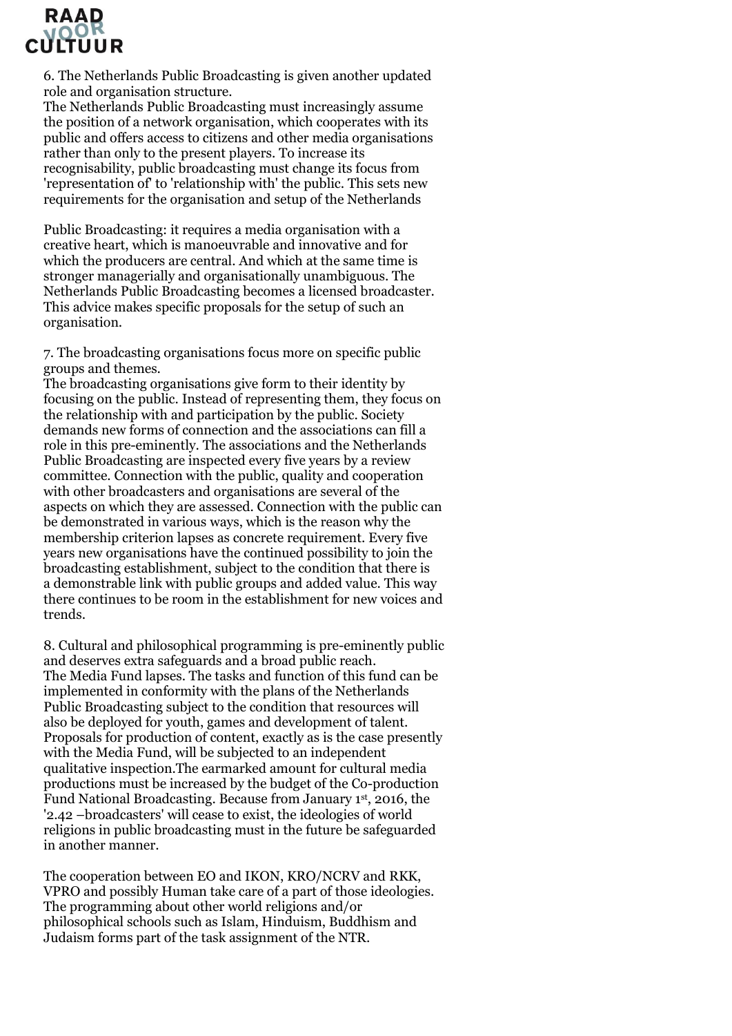

6. The Netherlands Public Broadcasting is given another updated role and organisation structure.

The Netherlands Public Broadcasting must increasingly assume the position of a network organisation, which cooperates with its public and offers access to citizens and other media organisations rather than only to the present players. To increase its recognisability, public broadcasting must change its focus from 'representation of' to 'relationship with' the public. This sets new requirements for the organisation and setup of the Netherlands

Public Broadcasting: it requires a media organisation with a creative heart, which is manoeuvrable and innovative and for which the producers are central. And which at the same time is stronger managerially and organisationally unambiguous. The Netherlands Public Broadcasting becomes a licensed broadcaster. This advice makes specific proposals for the setup of such an organisation.

7. The broadcasting organisations focus more on specific public groups and themes.

The broadcasting organisations give form to their identity by focusing on the public. Instead of representing them, they focus on the relationship with and participation by the public. Society demands new forms of connection and the associations can fill a role in this pre-eminently. The associations and the Netherlands Public Broadcasting are inspected every five years by a review committee. Connection with the public, quality and cooperation with other broadcasters and organisations are several of the aspects on which they are assessed. Connection with the public can be demonstrated in various ways, which is the reason why the membership criterion lapses as concrete requirement. Every five years new organisations have the continued possibility to join the broadcasting establishment, subject to the condition that there is a demonstrable link with public groups and added value. This way there continues to be room in the establishment for new voices and trends.

8. Cultural and philosophical programming is pre-eminently public and deserves extra safeguards and a broad public reach. The Media Fund lapses. The tasks and function of this fund can be implemented in conformity with the plans of the Netherlands Public Broadcasting subject to the condition that resources will also be deployed for youth, games and development of talent. Proposals for production of content, exactly as is the case presently with the Media Fund, will be subjected to an independent qualitative inspection.The earmarked amount for cultural media productions must be increased by the budget of the Co-production Fund National Broadcasting. Because from January 1st, 2016, the '2.42 –broadcasters' will cease to exist, the ideologies of world religions in public broadcasting must in the future be safeguarded in another manner.

The cooperation between EO and IKON, KRO/NCRV and RKK, VPRO and possibly Human take care of a part of those ideologies. The programming about other world religions and/or philosophical schools such as Islam, Hinduism, Buddhism and Judaism forms part of the task assignment of the NTR.